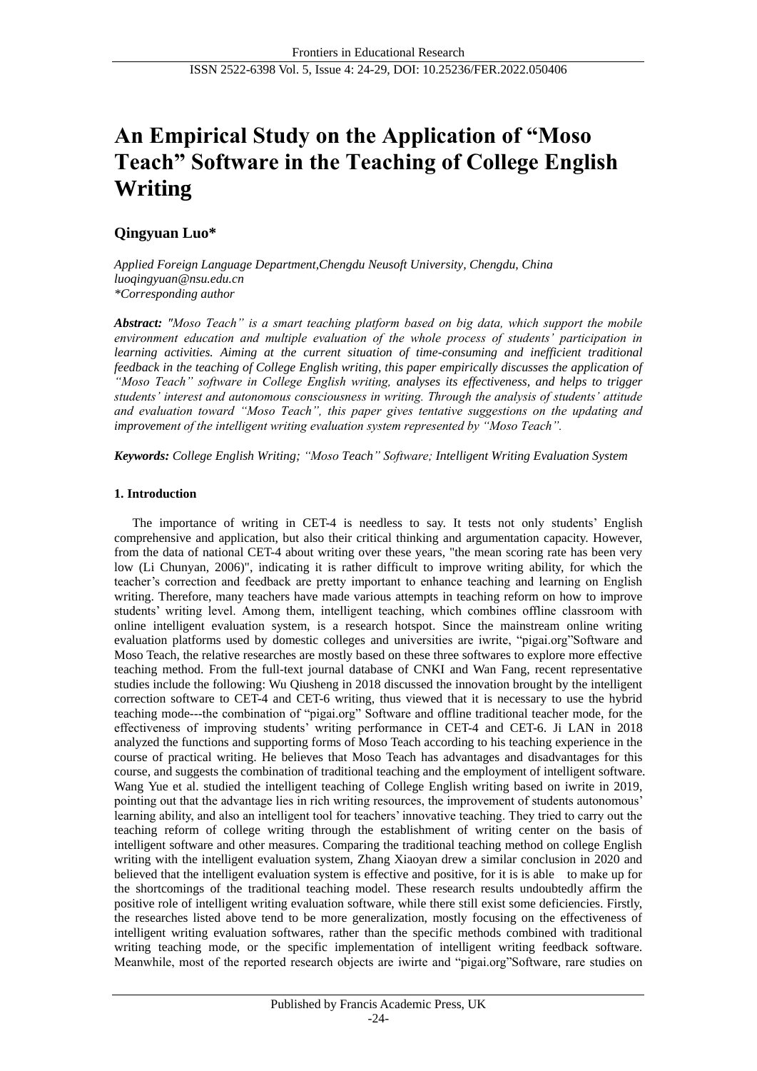# **An Empirical Study on the Application of "Moso Teach" Software in the Teaching of College English Writing**

# **Qingyuan Luo\***

*Applied Foreign Language Department,Chengdu Neusoft University, Chengdu, China luoqingyuan@nsu.edu.cn \*Corresponding author*

*Abstract: "Moso Teach" is a smart teaching platform based on big data, which support the mobile environment education and multiple evaluation of the whole process of students' participation in learning activities. Aiming at the current situation of time-consuming and inefficient traditional feedback in the teaching of College English writing, this paper empirically discusses the application of "Moso Teach" software in College English writing, analyses its effectiveness, and helps to trigger students' interest and autonomous consciousness in writing. Through the analysis of students' attitude and evaluation toward "Moso Teach", this paper gives tentative suggestions on the updating and improvement of the intelligent writing evaluation system represented by "Moso Teach".*

*Keywords: College English Writing; "Moso Teach" Software; Intelligent Writing Evaluation System*

# **1. Introduction**

The importance of writing in CET-4 is needless to say. It tests not only students' English comprehensive and application, but also their critical thinking and argumentation capacity. However, from the data of national CET-4 about writing over these years, "the mean scoring rate has been very low (Li Chunyan, 2006)", indicating it is rather difficult to improve writing ability, for which the teacher's correction and feedback are pretty important to enhance teaching and learning on English writing. Therefore, many teachers have made various attempts in teaching reform on how to improve students' writing level. Among them, intelligent teaching, which combines offline classroom with online intelligent evaluation system, is a research hotspot. Since the mainstream online writing evaluation platforms used by domestic colleges and universities are iwrite, "pigai.org"Software and Moso Teach, the relative researches are mostly based on these three softwares to explore more effective teaching method. From the full-text journal database of CNKI and Wan Fang, recent representative studies include the following: Wu Qiusheng in 2018 discussed the innovation brought by the intelligent correction software to CET-4 and CET-6 writing, thus viewed that it is necessary to use the hybrid teaching mode---the combination of "pigai.org" Software and offline traditional teacher mode, for the effectiveness of improving students' writing performance in CET-4 and CET-6. Ji LAN in 2018 analyzed the functions and supporting forms of Moso Teach according to his teaching experience in the course of practical writing. He believes that Moso Teach has advantages and disadvantages for this course, and suggests the combination of traditional teaching and the employment of intelligent software. Wang Yue et al. studied the intelligent teaching of College English writing based on iwrite in 2019, pointing out that the advantage lies in rich writing resources, the improvement of students autonomous' learning ability, and also an intelligent tool for teachers' innovative teaching. They tried to carry out the teaching reform of college writing through the establishment of writing center on the basis of intelligent software and other measures. Comparing the traditional teaching method on college English writing with the intelligent evaluation system, Zhang Xiaoyan drew a similar conclusion in 2020 and believed that the intelligent evaluation system is effective and positive, for it is is able to make up for the shortcomings of the traditional teaching model. These research results undoubtedly affirm the positive role of intelligent writing evaluation software, while there still exist some deficiencies. Firstly, the researches listed above tend to be more generalization, mostly focusing on the effectiveness of intelligent writing evaluation softwares, rather than the specific methods combined with traditional writing teaching mode, or the specific implementation of intelligent writing feedback software. Meanwhile, most of the reported research objects are iwirte and "pigai.org"Software, rare studies on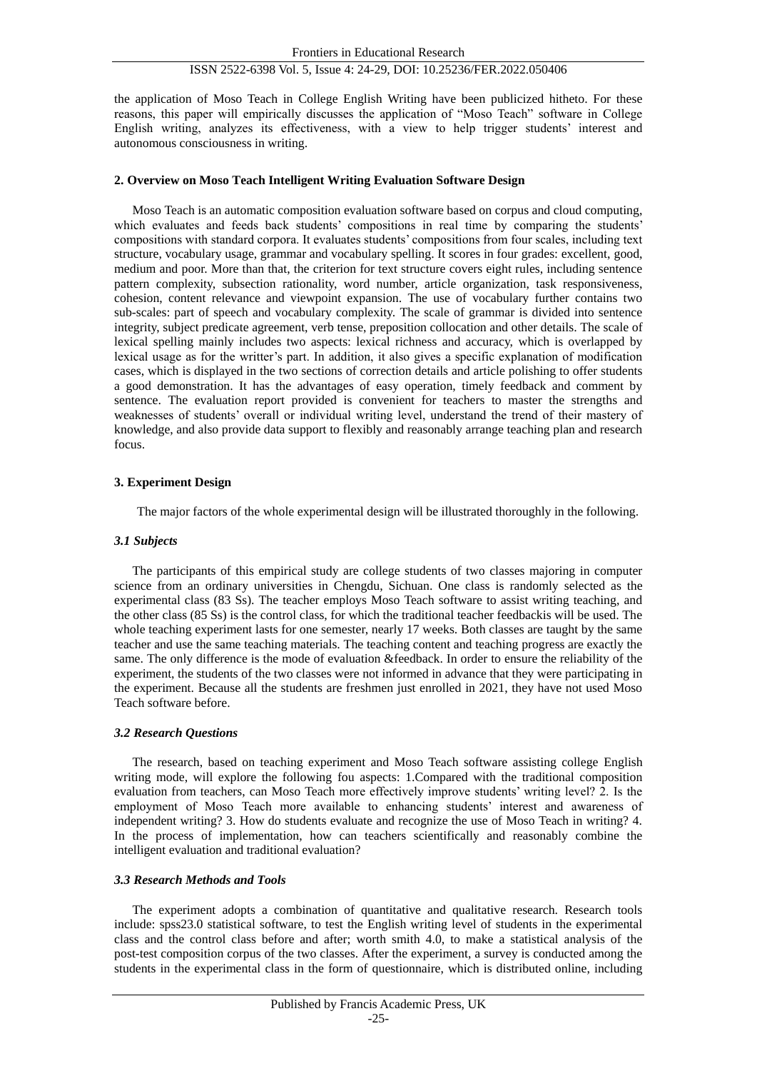the application of Moso Teach in College English Writing have been publicized hitheto. For these reasons, this paper will empirically discusses the application of "Moso Teach" software in College English writing, analyzes its effectiveness, with a view to help trigger students' interest and autonomous consciousness in writing.

# **2. Overview on Moso Teach Intelligent Writing Evaluation Software Design**

Moso Teach is an automatic composition evaluation software based on corpus and cloud computing, which evaluates and feeds back students' compositions in real time by comparing the students' compositions with standard corpora. It evaluates students' compositions from four scales, including text structure, vocabulary usage, grammar and vocabulary spelling. It scores in four grades: excellent, good, medium and poor. More than that, the criterion for text structure covers eight rules, including sentence pattern complexity, subsection rationality, word number, article organization, task responsiveness, cohesion, content relevance and viewpoint expansion. The use of vocabulary further contains two sub-scales: part of speech and vocabulary complexity. The scale of grammar is divided into sentence integrity, subject predicate agreement, verb tense, preposition collocation and other details. The scale of lexical spelling mainly includes two aspects: lexical richness and accuracy, which is overlapped by lexical usage as for the writter's part. In addition, it also gives a specific explanation of modification cases, which is displayed in the two sections of correction details and article polishing to offer students a good demonstration. It has the advantages of easy operation, timely feedback and comment by sentence. The evaluation report provided is convenient for teachers to master the strengths and weaknesses of students' overall or individual writing level, understand the trend of their mastery of knowledge, and also provide data support to flexibly and reasonably arrange teaching plan and research focus.

# **3. Experiment Design**

The major factors of the whole experimental design will be illustrated thoroughly in the following.

# *3.1 Subjects*

The participants of this empirical study are college students of two classes majoring in computer science from an ordinary universities in Chengdu, Sichuan. One class is randomly selected as the experimental class (83 Ss). The teacher employs Moso Teach software to assist writing teaching, and the other class (85 Ss) is the control class, for which the traditional teacher feedbackis will be used. The whole teaching experiment lasts for one semester, nearly 17 weeks. Both classes are taught by the same teacher and use the same teaching materials. The teaching content and teaching progress are exactly the same. The only difference is the mode of evaluation &feedback. In order to ensure the reliability of the experiment, the students of the two classes were not informed in advance that they were participating in the experiment. Because all the students are freshmen just enrolled in 2021, they have not used Moso Teach software before.

# *3.2 Research Questions*

The research, based on teaching experiment and Moso Teach software assisting college English writing mode, will explore the following fou aspects: 1.Compared with the traditional composition evaluation from teachers, can Moso Teach more effectively improve students' writing level? 2. Is the employment of Moso Teach more available to enhancing students' interest and awareness of independent writing? 3. How do students evaluate and recognize the use of Moso Teach in writing? 4. In the process of implementation, how can teachers scientifically and reasonably combine the intelligent evaluation and traditional evaluation?

# *3.3 Research Methods and Tools*

The experiment adopts a combination of quantitative and qualitative research. Research tools include: spss23.0 statistical software, to test the English writing level of students in the experimental class and the control class before and after; worth smith 4.0, to make a statistical analysis of the post-test composition corpus of the two classes. After the experiment, a survey is conducted among the students in the experimental class in the form of questionnaire, which is distributed online, including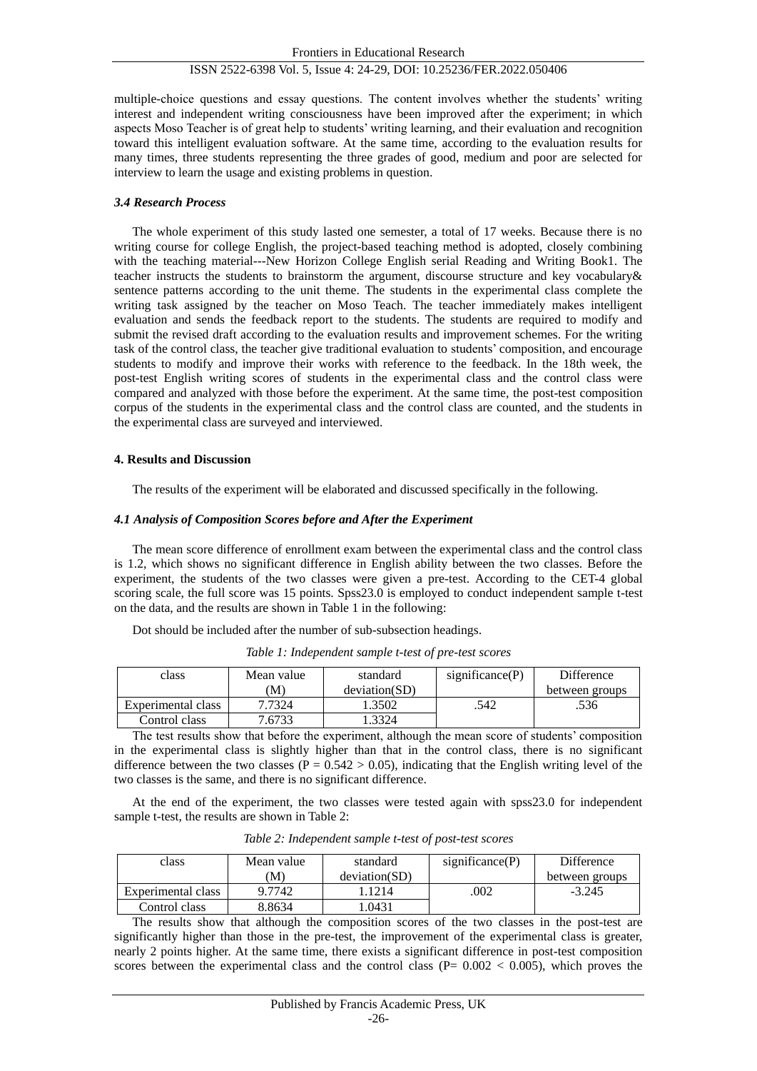multiple-choice questions and essay questions. The content involves whether the students' writing interest and independent writing consciousness have been improved after the experiment; in which aspects Moso Teacher is of great help to students' writing learning, and their evaluation and recognition toward this intelligent evaluation software. At the same time, according to the evaluation results for many times, three students representing the three grades of good, medium and poor are selected for interview to learn the usage and existing problems in question.

#### *3.4 Research Process*

The whole experiment of this study lasted one semester, a total of 17 weeks. Because there is no writing course for college English, the project-based teaching method is adopted, closely combining with the teaching material---New Horizon College English serial Reading and Writing Book1. The teacher instructs the students to brainstorm the argument, discourse structure and key vocabulary& sentence patterns according to the unit theme. The students in the experimental class complete the writing task assigned by the teacher on Moso Teach. The teacher immediately makes intelligent evaluation and sends the feedback report to the students. The students are required to modify and submit the revised draft according to the evaluation results and improvement schemes. For the writing task of the control class, the teacher give traditional evaluation to students' composition, and encourage students to modify and improve their works with reference to the feedback. In the 18th week, the post-test English writing scores of students in the experimental class and the control class were compared and analyzed with those before the experiment. At the same time, the post-test composition corpus of the students in the experimental class and the control class are counted, and the students in the experimental class are surveyed and interviewed.

#### **4. Results and Discussion**

The results of the experiment will be elaborated and discussed specifically in the following.

#### *4.1 Analysis of Composition Scores before and After the Experiment*

The mean score difference of enrollment exam between the experimental class and the control class is 1.2, which shows no significant difference in English ability between the two classes. Before the experiment, the students of the two classes were given a pre-test. According to the CET-4 global scoring scale, the full score was 15 points. Spss23.0 is employed to conduct independent sample t-test on the data, and the results are shown in Table 1 in the following:

Dot should be included after the number of sub-subsection headings.

| class              | Mean value | standard      | significance $(P)$ | <b>Difference</b> |
|--------------------|------------|---------------|--------------------|-------------------|
|                    | M          | deviation(SD) |                    | between groups    |
| Experimental class | 7.7324     | .3502         | .542               | .536              |
| Control class      | 7.6733     | 3324          |                    |                   |

*Table 1: Independent sample t-test of pre-test scores*

The test results show that before the experiment, although the mean score of students' composition in the experimental class is slightly higher than that in the control class, there is no significant difference between the two classes ( $P = 0.542 > 0.05$ ), indicating that the English writing level of the two classes is the same, and there is no significant difference.

At the end of the experiment, the two classes were tested again with spss23.0 for independent sample t-test, the results are shown in Table 2:

| class              | Mean value | standard      | significance $(P)$ | <b>Difference</b> |
|--------------------|------------|---------------|--------------------|-------------------|
|                    | M          | deviation(SD) |                    | between groups    |
| Experimental class | 9.7742     | 1214          | .002               | $-3.245$          |
| Control class      | 8.8634     | .0431         |                    |                   |

*Table 2: Independent sample t-test of post-test scores*

The results show that although the composition scores of the two classes in the post-test are significantly higher than those in the pre-test, the improvement of the experimental class is greater, nearly 2 points higher. At the same time, there exists a significant difference in post-test composition scores between the experimental class and the control class ( $P = 0.002 < 0.005$ ), which proves the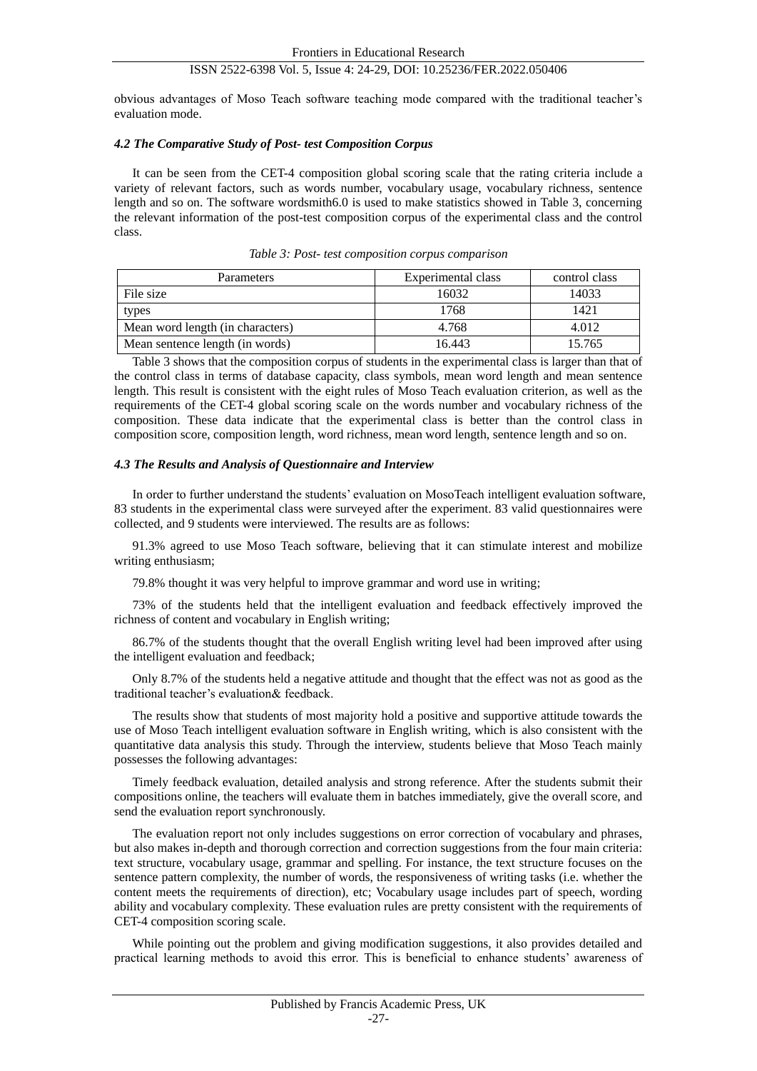obvious advantages of Moso Teach software teaching mode compared with the traditional teacher's evaluation mode.

#### *4.2 The Comparative Study of Post- test Composition Corpus*

It can be seen from the CET-4 composition global scoring scale that the rating criteria include a variety of relevant factors, such as words number, vocabulary usage, vocabulary richness, sentence length and so on. The software wordsmith6.0 is used to make statistics showed in Table 3, concerning the relevant information of the post-test composition corpus of the experimental class and the control class.

| Parameters                       | Experimental class | control class |
|----------------------------------|--------------------|---------------|
| File size                        | 16032              | 14033         |
| types                            | 1768               | 1421          |
| Mean word length (in characters) | 4.768              | 4.012         |
| Mean sentence length (in words)  | 16.443             | 15.765        |

|  | Table 3: Post- test composition corpus comparison |
|--|---------------------------------------------------|
|  |                                                   |

Table 3 shows that the composition corpus of students in the experimental class is larger than that of the control class in terms of database capacity, class symbols, mean word length and mean sentence length. This result is consistent with the eight rules of Moso Teach evaluation criterion, as well as the requirements of the CET-4 global scoring scale on the words number and vocabulary richness of the composition. These data indicate that the experimental class is better than the control class in composition score, composition length, word richness, mean word length, sentence length and so on.

#### *4.3 The Results and Analysis of Questionnaire and Interview*

In order to further understand the students' evaluation on MosoTeach intelligent evaluation software, 83 students in the experimental class were surveyed after the experiment. 83 valid questionnaires were collected, and 9 students were interviewed. The results are as follows:

91.3% agreed to use Moso Teach software, believing that it can stimulate interest and mobilize writing enthusiasm;

79.8% thought it was very helpful to improve grammar and word use in writing;

73% of the students held that the intelligent evaluation and feedback effectively improved the richness of content and vocabulary in English writing;

86.7% of the students thought that the overall English writing level had been improved after using the intelligent evaluation and feedback;

Only 8.7% of the students held a negative attitude and thought that the effect was not as good as the traditional teacher's evaluation& feedback.

The results show that students of most majority hold a positive and supportive attitude towards the use of Moso Teach intelligent evaluation software in English writing, which is also consistent with the quantitative data analysis this study. Through the interview, students believe that Moso Teach mainly possesses the following advantages:

Timely feedback evaluation, detailed analysis and strong reference. After the students submit their compositions online, the teachers will evaluate them in batches immediately, give the overall score, and send the evaluation report synchronously.

The evaluation report not only includes suggestions on error correction of vocabulary and phrases, but also makes in-depth and thorough correction and correction suggestions from the four main criteria: text structure, vocabulary usage, grammar and spelling. For instance, the text structure focuses on the sentence pattern complexity, the number of words, the responsiveness of writing tasks (i.e. whether the content meets the requirements of direction), etc; Vocabulary usage includes part of speech, wording ability and vocabulary complexity. These evaluation rules are pretty consistent with the requirements of CET-4 composition scoring scale.

While pointing out the problem and giving modification suggestions, it also provides detailed and practical learning methods to avoid this error. This is beneficial to enhance students' awareness of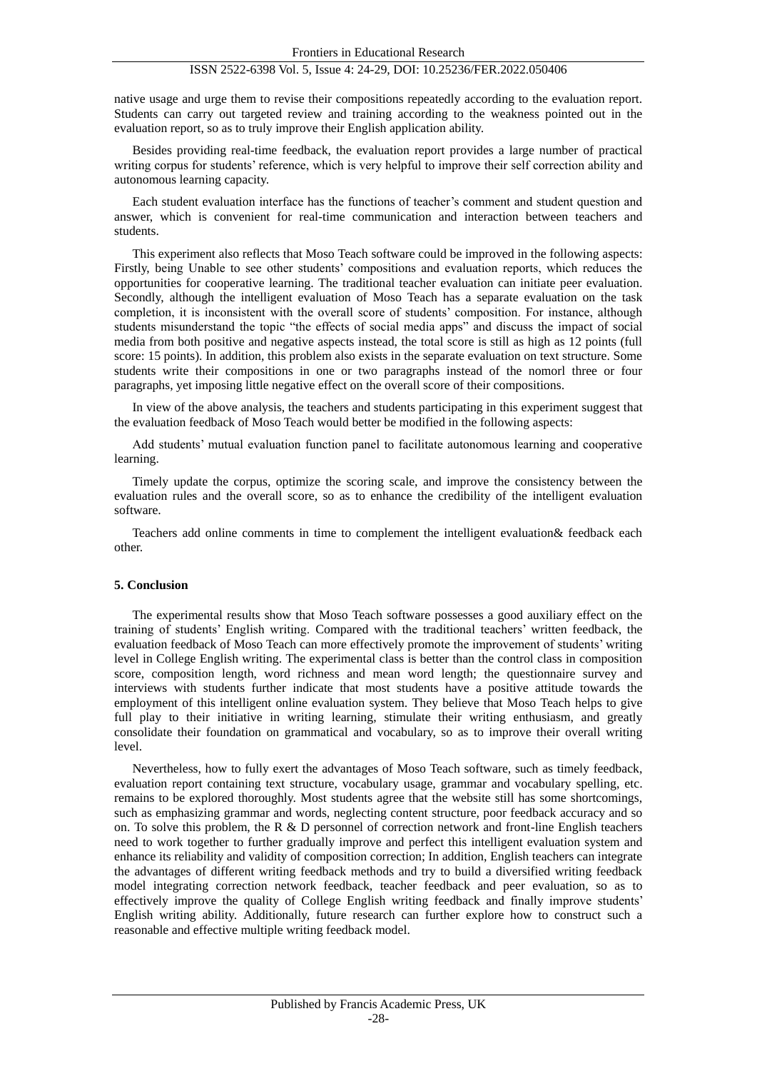native usage and urge them to revise their compositions repeatedly according to the evaluation report. Students can carry out targeted review and training according to the weakness pointed out in the evaluation report, so as to truly improve their English application ability.

Besides providing real-time feedback, the evaluation report provides a large number of practical writing corpus for students' reference, which is very helpful to improve their self correction ability and autonomous learning capacity.

Each student evaluation interface has the functions of teacher's comment and student question and answer, which is convenient for real-time communication and interaction between teachers and students.

This experiment also reflects that Moso Teach software could be improved in the following aspects: Firstly, being Unable to see other students' compositions and evaluation reports, which reduces the opportunities for cooperative learning. The traditional teacher evaluation can initiate peer evaluation. Secondly, although the intelligent evaluation of Moso Teach has a separate evaluation on the task completion, it is inconsistent with the overall score of students' composition. For instance, although students misunderstand the topic "the effects of social media apps" and discuss the impact of social media from both positive and negative aspects instead, the total score is still as high as 12 points (full score: 15 points). In addition, this problem also exists in the separate evaluation on text structure. Some students write their compositions in one or two paragraphs instead of the nomorl three or four paragraphs, yet imposing little negative effect on the overall score of their compositions.

In view of the above analysis, the teachers and students participating in this experiment suggest that the evaluation feedback of Moso Teach would better be modified in the following aspects:

Add students' mutual evaluation function panel to facilitate autonomous learning and cooperative learning.

Timely update the corpus, optimize the scoring scale, and improve the consistency between the evaluation rules and the overall score, so as to enhance the credibility of the intelligent evaluation software.

Teachers add online comments in time to complement the intelligent evaluation& feedback each other.

#### **5. Conclusion**

The experimental results show that Moso Teach software possesses a good auxiliary effect on the training of students' English writing. Compared with the traditional teachers' written feedback, the evaluation feedback of Moso Teach can more effectively promote the improvement of students' writing level in College English writing. The experimental class is better than the control class in composition score, composition length, word richness and mean word length; the questionnaire survey and interviews with students further indicate that most students have a positive attitude towards the employment of this intelligent online evaluation system. They believe that Moso Teach helps to give full play to their initiative in writing learning, stimulate their writing enthusiasm, and greatly consolidate their foundation on grammatical and vocabulary, so as to improve their overall writing level.

Nevertheless, how to fully exert the advantages of Moso Teach software, such as timely feedback, evaluation report containing text structure, vocabulary usage, grammar and vocabulary spelling, etc. remains to be explored thoroughly. Most students agree that the website still has some shortcomings, such as emphasizing grammar and words, neglecting content structure, poor feedback accuracy and so on. To solve this problem, the R  $\&$  D personnel of correction network and front-line English teachers need to work together to further gradually improve and perfect this intelligent evaluation system and enhance its reliability and validity of composition correction; In addition, English teachers can integrate the advantages of different writing feedback methods and try to build a diversified writing feedback model integrating correction network feedback, teacher feedback and peer evaluation, so as to effectively improve the quality of College English writing feedback and finally improve students' English writing ability. Additionally, future research can further explore how to construct such a reasonable and effective multiple writing feedback model.